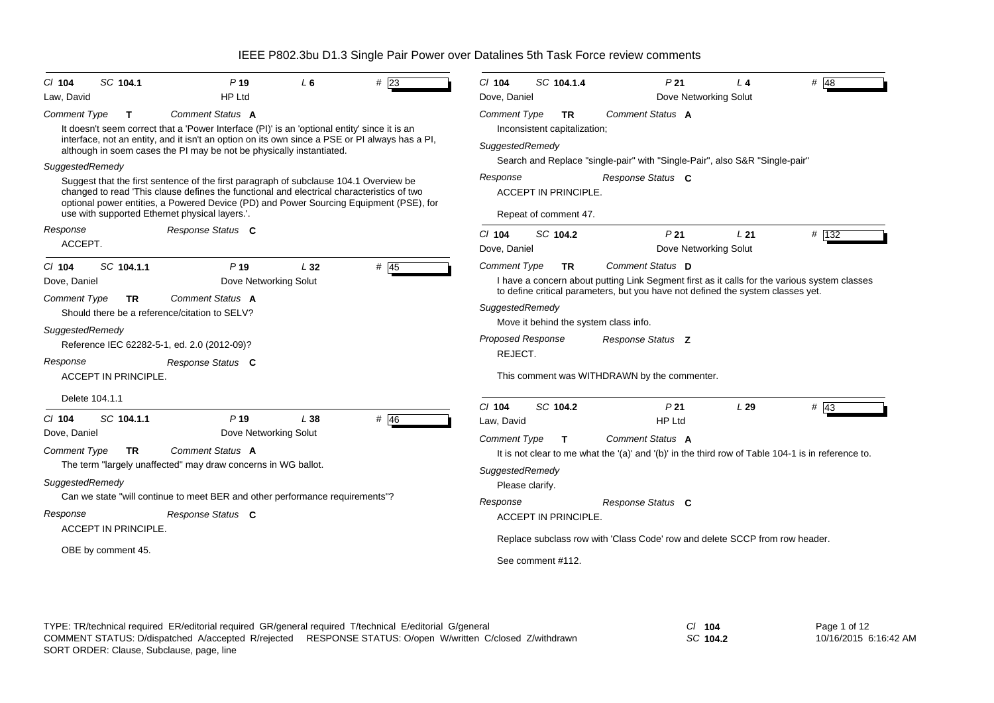| $Cl$ 104                                                                                                                                                                           | SC 104.1                                                       | P <sub>19</sub>                                                                                                                                                                                                                                                                                                                                                                                                         | $L_6$           | $\#$ 23      | $Cl$ 104                                                                                                                                               | SC 104.1.4                                                                                                      | P <sub>21</sub>                                                                                                                                                                                                                                                                                                                                                                                                                                             | $L_4$ | $#$ 48 |
|------------------------------------------------------------------------------------------------------------------------------------------------------------------------------------|----------------------------------------------------------------|-------------------------------------------------------------------------------------------------------------------------------------------------------------------------------------------------------------------------------------------------------------------------------------------------------------------------------------------------------------------------------------------------------------------------|-----------------|--------------|--------------------------------------------------------------------------------------------------------------------------------------------------------|-----------------------------------------------------------------------------------------------------------------|-------------------------------------------------------------------------------------------------------------------------------------------------------------------------------------------------------------------------------------------------------------------------------------------------------------------------------------------------------------------------------------------------------------------------------------------------------------|-------|--------|
| Law, David                                                                                                                                                                         |                                                                | <b>HP Ltd</b>                                                                                                                                                                                                                                                                                                                                                                                                           |                 |              | Dove, Daniel                                                                                                                                           |                                                                                                                 | Dove Networking Solut                                                                                                                                                                                                                                                                                                                                                                                                                                       |       |        |
| <b>Comment Type</b>                                                                                                                                                                | T.                                                             | <b>Comment Status A</b><br>It doesn't seem correct that a 'Power Interface (PI)' is an 'optional entity' since it is an<br>interface, not an entity, and it isn't an option on its own since a PSE or PI always has a PI,<br>although in soem cases the PI may be not be physically instantiated.                                                                                                                       |                 |              | <b>Comment Type</b><br>SuggestedRemedy                                                                                                                 | <b>TR</b><br>Inconsistent capitalization;                                                                       | Comment Status A                                                                                                                                                                                                                                                                                                                                                                                                                                            |       |        |
| SuggestedRemedy                                                                                                                                                                    |                                                                |                                                                                                                                                                                                                                                                                                                                                                                                                         |                 |              |                                                                                                                                                        |                                                                                                                 | Search and Replace "single-pair" with "Single-Pair", also S&R "Single-pair"                                                                                                                                                                                                                                                                                                                                                                                 |       |        |
|                                                                                                                                                                                    |                                                                | Suggest that the first sentence of the first paragraph of subclause 104.1 Overview be<br>changed to read 'This clause defines the functional and electrical characteristics of two<br>optional power entities, a Powered Device (PD) and Power Sourcing Equipment (PSE), for<br>use with supported Ethernet physical layers.".                                                                                          |                 |              | Response                                                                                                                                               | <b>ACCEPT IN PRINCIPLE.</b><br>Repeat of comment 47.                                                            | Response Status C                                                                                                                                                                                                                                                                                                                                                                                                                                           |       |        |
| Response                                                                                                                                                                           |                                                                | Response Status C                                                                                                                                                                                                                                                                                                                                                                                                       |                 |              | $Cl$ 104                                                                                                                                               | SC 104.2                                                                                                        | P <sub>21</sub>                                                                                                                                                                                                                                                                                                                                                                                                                                             | L21   | # 132  |
| ACCEPT.                                                                                                                                                                            |                                                                |                                                                                                                                                                                                                                                                                                                                                                                                                         |                 |              | Dove, Daniel                                                                                                                                           |                                                                                                                 | Dove Networking Solut                                                                                                                                                                                                                                                                                                                                                                                                                                       |       |        |
| $Cl$ 104<br>Dove, Daniel<br><b>Comment Type</b><br>SuggestedRemedy<br>Response<br>Delete 104.1.1<br>$CI$ 104<br>Dove, Daniel<br><b>Comment Type</b><br>SuggestedRemedy<br>Response | SC 104.1.1<br>TR.<br>ACCEPT IN PRINCIPLE.<br>SC 104.1.1<br>TR. | P <sub>19</sub><br>Dove Networking Solut<br>Comment Status A<br>Should there be a reference/citation to SELV?<br>Reference IEC 62282-5-1, ed. 2.0 (2012-09)?<br>Response Status C<br>P <sub>19</sub><br>Dove Networking Solut<br>Comment Status A<br>The term "largely unaffected" may draw concerns in WG ballot.<br>Can we state "will continue to meet BER and other performance requirements"?<br>Response Status C | $L_{32}$<br>L38 | # 45<br># 46 | <b>Comment Type</b><br>SuggestedRemedy<br>Proposed Response<br>REJECT.<br>$Cl$ 104<br>Law, David<br><b>Comment Type</b><br>SuggestedRemedy<br>Response | TR.<br>Move it behind the system class info.<br>SC 104.2<br>T<br>Please clarify.<br><b>ACCEPT IN PRINCIPLE.</b> | Comment Status D<br>I have a concern about putting Link Segment first as it calls for the various system classes<br>to define critical parameters, but you have not defined the system classes yet.<br>Response Status Z<br>This comment was WITHDRAWN by the commenter.<br>P <sub>21</sub><br><b>HP Ltd</b><br>Comment Status A<br>It is not clear to me what the '(a)' and '(b)' in the third row of Table 104-1 is in reference to.<br>Response Status C | L29   | $#$ 43 |
|                                                                                                                                                                                    | <b>ACCEPT IN PRINCIPLE.</b><br>OBE by comment 45.              |                                                                                                                                                                                                                                                                                                                                                                                                                         |                 |              |                                                                                                                                                        | See comment #112.                                                                                               | Replace subclass row with 'Class Code' row and delete SCCP from row header.                                                                                                                                                                                                                                                                                                                                                                                 |       |        |

*SC* **104.2**

Page 1 of 12 10/16/2015 6:16:42 AM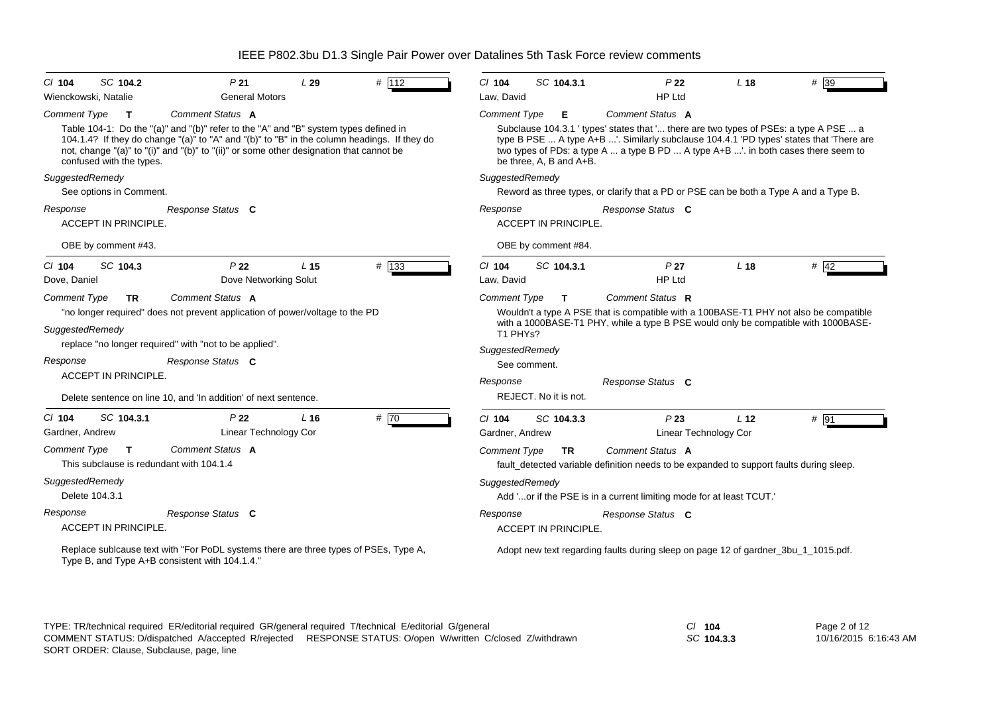| # 112                                                                                                                                                                                                                                                                             | SC 104.3.1                                                                                                                                                                                                                                                                                                             |
|-----------------------------------------------------------------------------------------------------------------------------------------------------------------------------------------------------------------------------------------------------------------------------------|------------------------------------------------------------------------------------------------------------------------------------------------------------------------------------------------------------------------------------------------------------------------------------------------------------------------|
| SC 104.2                                                                                                                                                                                                                                                                          | P <sub>22</sub>                                                                                                                                                                                                                                                                                                        |
| P <sub>21</sub>                                                                                                                                                                                                                                                                   | $# \overline{39}$                                                                                                                                                                                                                                                                                                      |
| L29                                                                                                                                                                                                                                                                               | $Cl$ 104                                                                                                                                                                                                                                                                                                               |
| $Cl$ 104                                                                                                                                                                                                                                                                          | L <sub>18</sub>                                                                                                                                                                                                                                                                                                        |
| <b>General Motors</b>                                                                                                                                                                                                                                                             | Law, David                                                                                                                                                                                                                                                                                                             |
| Wienckowski, Natalie                                                                                                                                                                                                                                                              | <b>HP Ltd</b>                                                                                                                                                                                                                                                                                                          |
| Comment Status A                                                                                                                                                                                                                                                                  | Comment Status A                                                                                                                                                                                                                                                                                                       |
| <b>Comment Type</b>                                                                                                                                                                                                                                                               | <b>Comment Type</b>                                                                                                                                                                                                                                                                                                    |
| $\mathbf{T}$                                                                                                                                                                                                                                                                      | Е                                                                                                                                                                                                                                                                                                                      |
| Table 104-1: Do the "(a)" and "(b)" refer to the "A" and "B" system types defined in                                                                                                                                                                                              | Subclause 104.3.1 ' types' states that ' there are two types of PSEs: a type A PSE  a                                                                                                                                                                                                                                  |
| 104.1.4? If they do change "(a)" to "A" and "(b)" to "B" in the column headings. If they do                                                                                                                                                                                       | type B PSE  A type A+B '. Similarly subclause 104.4.1 'PD types' states that 'There are                                                                                                                                                                                                                                |
| not, change "(a)" to "(i)" and "(b)" to "(ii)" or some other designation that cannot be                                                                                                                                                                                           | two types of PDs: a type A  a type B PD  A type A+B '. in both cases there seem to                                                                                                                                                                                                                                     |
| confused with the types.                                                                                                                                                                                                                                                          | be three, A, B and A+B.                                                                                                                                                                                                                                                                                                |
| SuggestedRemedy                                                                                                                                                                                                                                                                   | SuggestedRemedy                                                                                                                                                                                                                                                                                                        |
| See options in Comment.                                                                                                                                                                                                                                                           | Reword as three types, or clarify that a PD or PSE can be both a Type A and a Type B.                                                                                                                                                                                                                                  |
| Response                                                                                                                                                                                                                                                                          | Response                                                                                                                                                                                                                                                                                                               |
| Response Status C                                                                                                                                                                                                                                                                 | Response Status C                                                                                                                                                                                                                                                                                                      |
| ACCEPT IN PRINCIPLE.                                                                                                                                                                                                                                                              | ACCEPT IN PRINCIPLE.                                                                                                                                                                                                                                                                                                   |
| OBE by comment #43.                                                                                                                                                                                                                                                               | OBE by comment #84.                                                                                                                                                                                                                                                                                                    |
| # 133                                                                                                                                                                                                                                                                             | $Cl$ 104                                                                                                                                                                                                                                                                                                               |
| SC 104.3                                                                                                                                                                                                                                                                          | SC 104.3.1                                                                                                                                                                                                                                                                                                             |
| P <sub>22</sub>                                                                                                                                                                                                                                                                   | L <sub>18</sub>                                                                                                                                                                                                                                                                                                        |
| L <sub>15</sub>                                                                                                                                                                                                                                                                   | # $42$                                                                                                                                                                                                                                                                                                                 |
| $Cl$ 104                                                                                                                                                                                                                                                                          | P <sub>27</sub>                                                                                                                                                                                                                                                                                                        |
| Dove Networking Solut                                                                                                                                                                                                                                                             | Law, David                                                                                                                                                                                                                                                                                                             |
| Dove, Daniel                                                                                                                                                                                                                                                                      | <b>HP Ltd</b>                                                                                                                                                                                                                                                                                                          |
| Comment Status A<br><b>Comment Type</b><br><b>TR</b><br>"no longer required" does not prevent application of power/voltage to the PD<br>SuggestedRemedy<br>replace "no longer required" with "not to be applied".<br>Response Status C<br>Response<br><b>ACCEPT IN PRINCIPLE.</b> | Comment Status R<br><b>Comment Type</b><br>$\mathbf{T}$<br>Wouldn't a type A PSE that is compatible with a 100BASE-T1 PHY not also be compatible<br>with a 1000BASE-T1 PHY, while a type B PSE would only be compatible with 1000BASE-<br>T1 PHYs?<br>SuggestedRemedy<br>See comment.<br>Response Status C<br>Response |
| Delete sentence on line 10, and 'In addition' of next sentence.                                                                                                                                                                                                                   | REJECT. No it is not.                                                                                                                                                                                                                                                                                                  |
| #70                                                                                                                                                                                                                                                                               | P23                                                                                                                                                                                                                                                                                                                    |
| SC 104.3.1                                                                                                                                                                                                                                                                        | # 91                                                                                                                                                                                                                                                                                                                   |
| P <sub>22</sub>                                                                                                                                                                                                                                                                   | $Cl$ 104                                                                                                                                                                                                                                                                                                               |
| $CI$ 104                                                                                                                                                                                                                                                                          | SC 104.3.3                                                                                                                                                                                                                                                                                                             |
| L <sub>16</sub>                                                                                                                                                                                                                                                                   | L <sub>12</sub>                                                                                                                                                                                                                                                                                                        |
| Linear Technology Cor                                                                                                                                                                                                                                                             | <b>Linear Technology Cor</b>                                                                                                                                                                                                                                                                                           |
| Gardner, Andrew                                                                                                                                                                                                                                                                   | Gardner, Andrew                                                                                                                                                                                                                                                                                                        |
| <b>Comment Type</b>                                                                                                                                                                                                                                                               | Comment Status A                                                                                                                                                                                                                                                                                                       |
| Comment Status A                                                                                                                                                                                                                                                                  | <b>Comment Type</b>                                                                                                                                                                                                                                                                                                    |
| $\mathbf{T}$                                                                                                                                                                                                                                                                      | <b>TR</b>                                                                                                                                                                                                                                                                                                              |
| This subclause is redundant with 104.1.4                                                                                                                                                                                                                                          | fault_detected variable definition needs to be expanded to support faults during sleep.                                                                                                                                                                                                                                |
| SuggestedRemedy                                                                                                                                                                                                                                                                   | SuggestedRemedy                                                                                                                                                                                                                                                                                                        |
| Delete 104.3.1                                                                                                                                                                                                                                                                    | Add 'or if the PSE is in a current limiting mode for at least TCUT.'                                                                                                                                                                                                                                                   |
| Response                                                                                                                                                                                                                                                                          | Response Status C                                                                                                                                                                                                                                                                                                      |
| Response Status C                                                                                                                                                                                                                                                                 | Response                                                                                                                                                                                                                                                                                                               |
| ACCEPT IN PRINCIPLE.                                                                                                                                                                                                                                                              | <b>ACCEPT IN PRINCIPLE.</b>                                                                                                                                                                                                                                                                                            |
| Replace sublcause text with "For PoDL systems there are three types of PSEs, Type A,<br>Type B, and Type A+B consistent with 104.1.4."                                                                                                                                            | Adopt new text regarding faults during sleep on page 12 of gardner_3bu_1_1015.pdf.                                                                                                                                                                                                                                     |

*SC* **104.3.3**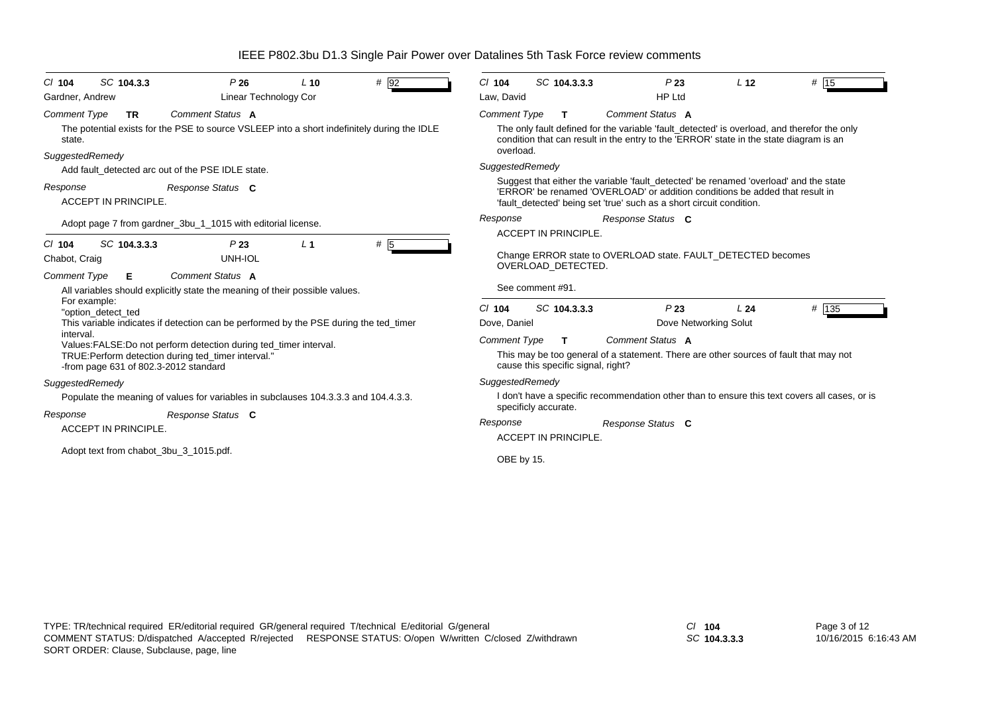|                                           |                                                                                                                         |                | IEEE P802.3bu D1.3 Single Pair Power over Datalines 5th Task Force review comments |                      |                                    |                                                                                                                                                                                                                                               |                       |                                                                                               |
|-------------------------------------------|-------------------------------------------------------------------------------------------------------------------------|----------------|------------------------------------------------------------------------------------|----------------------|------------------------------------|-----------------------------------------------------------------------------------------------------------------------------------------------------------------------------------------------------------------------------------------------|-----------------------|-----------------------------------------------------------------------------------------------|
| SC 104.3.3<br>C/ 104                      | P26                                                                                                                     | $L$ 10         | # 92                                                                               | $Cl$ 104             | SC 104.3.3.3                       | P23                                                                                                                                                                                                                                           | L <sub>12</sub>       | # 15                                                                                          |
| Gardner, Andrew                           | <b>Linear Technology Cor</b>                                                                                            |                |                                                                                    | Law, David           |                                    | <b>HP Ltd</b>                                                                                                                                                                                                                                 |                       |                                                                                               |
| <b>Comment Type</b><br><b>TR</b>          | Comment Status A                                                                                                        |                |                                                                                    | <b>Comment Type</b>  | T                                  | Comment Status A                                                                                                                                                                                                                              |                       |                                                                                               |
| state.                                    | The potential exists for the PSE to source VSLEEP into a short indefinitely during the IDLE                             |                |                                                                                    |                      |                                    | condition that can result in the entry to the 'ERROR' state in the state diagram is an                                                                                                                                                        |                       | The only fault defined for the variable 'fault_detected' is overload, and therefor the only   |
| SuggestedRemedy                           |                                                                                                                         |                |                                                                                    | overload.            |                                    |                                                                                                                                                                                                                                               |                       |                                                                                               |
|                                           | Add fault detected arc out of the PSE IDLE state.                                                                       |                |                                                                                    | SuggestedRemedy      |                                    |                                                                                                                                                                                                                                               |                       |                                                                                               |
| Response<br><b>ACCEPT IN PRINCIPLE.</b>   | Response Status C                                                                                                       |                |                                                                                    |                      |                                    | Suggest that either the variable 'fault detected' be renamed 'overload' and the state<br>'ERROR' be renamed 'OVERLOAD' or addition conditions be added that result in<br>'fault_detected' being set 'true' such as a short circuit condition. |                       |                                                                                               |
|                                           | Adopt page 7 from gardner_3bu_1_1015 with editorial license.                                                            |                |                                                                                    | Response             |                                    | Response Status C                                                                                                                                                                                                                             |                       |                                                                                               |
|                                           |                                                                                                                         |                |                                                                                    |                      | <b>ACCEPT IN PRINCIPLE.</b>        |                                                                                                                                                                                                                                               |                       |                                                                                               |
| SC 104.3.3.3<br>$CI$ 104<br>Chabot, Craig | P23<br>UNH-IOL                                                                                                          | L <sub>1</sub> | # $\overline{5}$                                                                   |                      | OVERLOAD DETECTED.                 | Change ERROR state to OVERLOAD state. FAULT_DETECTED becomes                                                                                                                                                                                  |                       |                                                                                               |
| <b>Comment Type</b><br>Е                  | Comment Status A                                                                                                        |                |                                                                                    |                      |                                    |                                                                                                                                                                                                                                               |                       |                                                                                               |
|                                           | All variables should explicitly state the meaning of their possible values.                                             |                |                                                                                    | See comment #91.     |                                    |                                                                                                                                                                                                                                               |                       |                                                                                               |
| For example:<br>"option detect ted        |                                                                                                                         |                |                                                                                    | $Cl$ 104             | SC 104.3.3.3                       | P23                                                                                                                                                                                                                                           | L24                   | # 135                                                                                         |
|                                           | This variable indicates if detection can be performed by the PSE during the ted_timer                                   |                |                                                                                    | Dove, Daniel         |                                    |                                                                                                                                                                                                                                               | Dove Networking Solut |                                                                                               |
| interval.                                 |                                                                                                                         |                |                                                                                    | <b>Comment Type</b>  | $\mathbf{T}$                       | Comment Status A                                                                                                                                                                                                                              |                       |                                                                                               |
| -from page 631 of 802.3-2012 standard     | Values:FALSE:Do not perform detection during ted_timer interval.<br>TRUE: Perform detection during ted timer interval." |                |                                                                                    |                      | cause this specific signal, right? | This may be too general of a statement. There are other sources of fault that may not                                                                                                                                                         |                       |                                                                                               |
| SuggestedRemedy                           |                                                                                                                         |                |                                                                                    | SuggestedRemedy      |                                    |                                                                                                                                                                                                                                               |                       |                                                                                               |
|                                           | Populate the meaning of values for variables in subclauses 104.3.3.3 and 104.4.3.3.                                     |                |                                                                                    |                      |                                    |                                                                                                                                                                                                                                               |                       | I don't have a specific recommendation other than to ensure this text covers all cases, or is |
| Response                                  | Response Status C                                                                                                       |                |                                                                                    | specificly accurate. |                                    |                                                                                                                                                                                                                                               |                       |                                                                                               |
| <b>ACCEPT IN PRINCIPLE.</b>               |                                                                                                                         |                |                                                                                    | Response             | <b>ACCEPT IN PRINCIPLE.</b>        | Response Status C                                                                                                                                                                                                                             |                       |                                                                                               |
| Adopt text from chabot_3bu_3_1015.pdf.    |                                                                                                                         |                |                                                                                    | OBE by 15.           |                                    |                                                                                                                                                                                                                                               |                       |                                                                                               |

*SC* **104.3.3.3**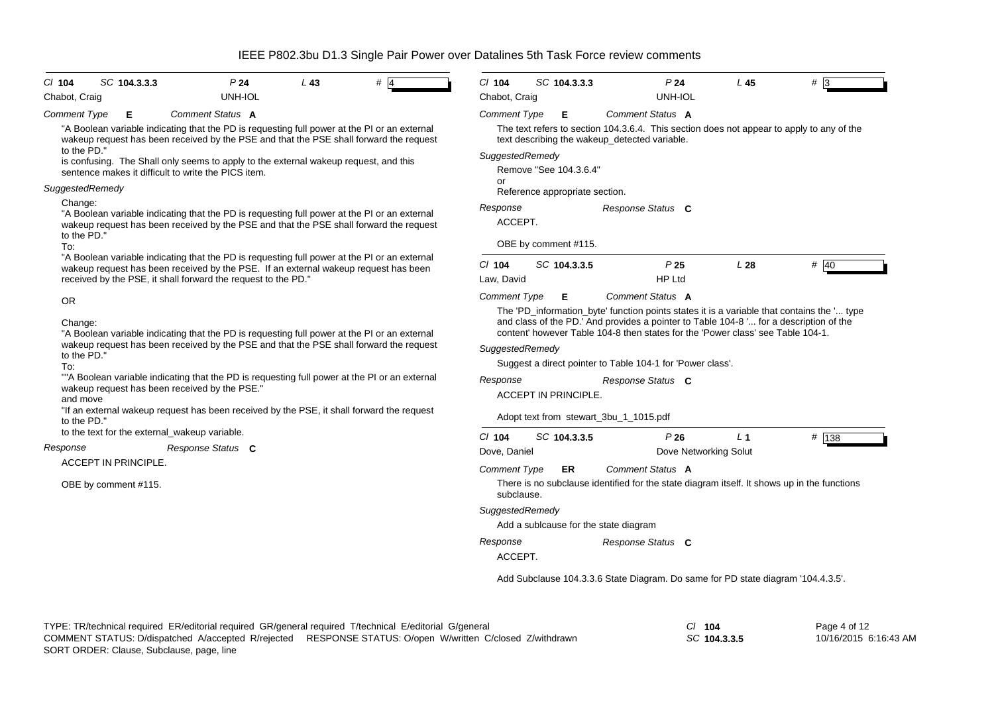| SC 104.3.3.3<br>P <sub>24</sub><br>$CI$ 104<br>$L$ 43                                                                                                                                                                                                | $CI$ 104<br>SC 104.3.3.3<br>P <sub>24</sub><br>L <sub>45</sub><br>#                                                                                                                                                                  |  |  |  |  |  |  |
|------------------------------------------------------------------------------------------------------------------------------------------------------------------------------------------------------------------------------------------------------|--------------------------------------------------------------------------------------------------------------------------------------------------------------------------------------------------------------------------------------|--|--|--|--|--|--|
| UNH-IOL<br>Chabot, Craig                                                                                                                                                                                                                             | UNH-IOL<br>Chabot, Craig                                                                                                                                                                                                             |  |  |  |  |  |  |
| Comment Status A<br><b>Comment Type</b><br>Е<br>"A Boolean variable indicating that the PD is requesting full power at the PI or an external<br>wakeup request has been received by the PSE and that the PSE shall forward the request               | <b>Comment Status A</b><br><b>Comment Type</b><br>E.<br>The text refers to section 104.3.6.4. This section does not appear to apply to any of the<br>text describing the wakeup_detected variable.                                   |  |  |  |  |  |  |
| to the PD."<br>is confusing. The Shall only seems to apply to the external wakeup request, and this<br>sentence makes it difficult to write the PICS item.                                                                                           | SuggestedRemedy<br>Remove "See 104.3.6.4"<br>or                                                                                                                                                                                      |  |  |  |  |  |  |
| SuggestedRemedy                                                                                                                                                                                                                                      | Reference appropriate section.                                                                                                                                                                                                       |  |  |  |  |  |  |
| Change:<br>"A Boolean variable indicating that the PD is requesting full power at the PI or an external<br>wakeup request has been received by the PSE and that the PSE shall forward the request<br>to the PD."                                     | Response<br>Response Status C<br>ACCEPT.                                                                                                                                                                                             |  |  |  |  |  |  |
| To:                                                                                                                                                                                                                                                  | OBE by comment #115.                                                                                                                                                                                                                 |  |  |  |  |  |  |
| "A Boolean variable indicating that the PD is requesting full power at the PI or an external<br>wakeup request has been received by the PSE. If an external wakeup request has been<br>received by the PSE, it shall forward the request to the PD." | SC 104.3.3.5<br>P <sub>25</sub><br># 40<br>$Cl$ 104<br>L28<br><b>HP Ltd</b><br>Law, David                                                                                                                                            |  |  |  |  |  |  |
| <b>OR</b><br>Change:                                                                                                                                                                                                                                 | <b>Comment Type</b><br>Comment Status A<br>Е<br>The 'PD_information_byte' function points states it is a variable that contains the ' type<br>and class of the PD.' And provides a pointer to Table 104-8 ' for a description of the |  |  |  |  |  |  |
| "A Boolean variable indicating that the PD is requesting full power at the PI or an external<br>wakeup request has been received by the PSE and that the PSE shall forward the request<br>to the PD."<br>To:                                         | content' however Table 104-8 then states for the 'Power class' see Table 104-1.<br>SuggestedRemedy<br>Suggest a direct pointer to Table 104-1 for 'Power class'.                                                                     |  |  |  |  |  |  |
| ""A Boolean variable indicating that the PD is requesting full power at the PI or an external<br>wakeup request has been received by the PSE."<br>and move                                                                                           | Response<br>Response Status C<br><b>ACCEPT IN PRINCIPLE</b>                                                                                                                                                                          |  |  |  |  |  |  |
| "If an external wakeup request has been received by the PSE, it shall forward the request<br>to the PD."                                                                                                                                             | Adopt text from stewart_3bu_1_1015.pdf                                                                                                                                                                                               |  |  |  |  |  |  |
| to the text for the external_wakeup variable.<br>Response Status C<br>Response                                                                                                                                                                       | $Cl$ 104<br># 138<br>SC 104.3.3.5<br>P26<br>L <sub>1</sub><br>Dove, Daniel<br>Dove Networking Solut                                                                                                                                  |  |  |  |  |  |  |
| <b>ACCEPT IN PRINCIPLE.</b>                                                                                                                                                                                                                          | Comment Status A<br><b>Comment Type</b><br>ER.                                                                                                                                                                                       |  |  |  |  |  |  |
| OBE by comment #115.                                                                                                                                                                                                                                 | There is no subclause identified for the state diagram itself. It shows up in the functions<br>subclause.                                                                                                                            |  |  |  |  |  |  |
|                                                                                                                                                                                                                                                      | SuggestedRemedy<br>Add a sublcause for the state diagram                                                                                                                                                                             |  |  |  |  |  |  |
|                                                                                                                                                                                                                                                      | Response<br>Response Status C<br>ACCEPT.                                                                                                                                                                                             |  |  |  |  |  |  |
|                                                                                                                                                                                                                                                      | Add Subclause 104.3.3.6 State Diagram. Do same for PD state diagram '104.4.3.5'.                                                                                                                                                     |  |  |  |  |  |  |

*SC* **104.3.3.5**

Page 4 of 12 10/16/2015 6:16:43 AM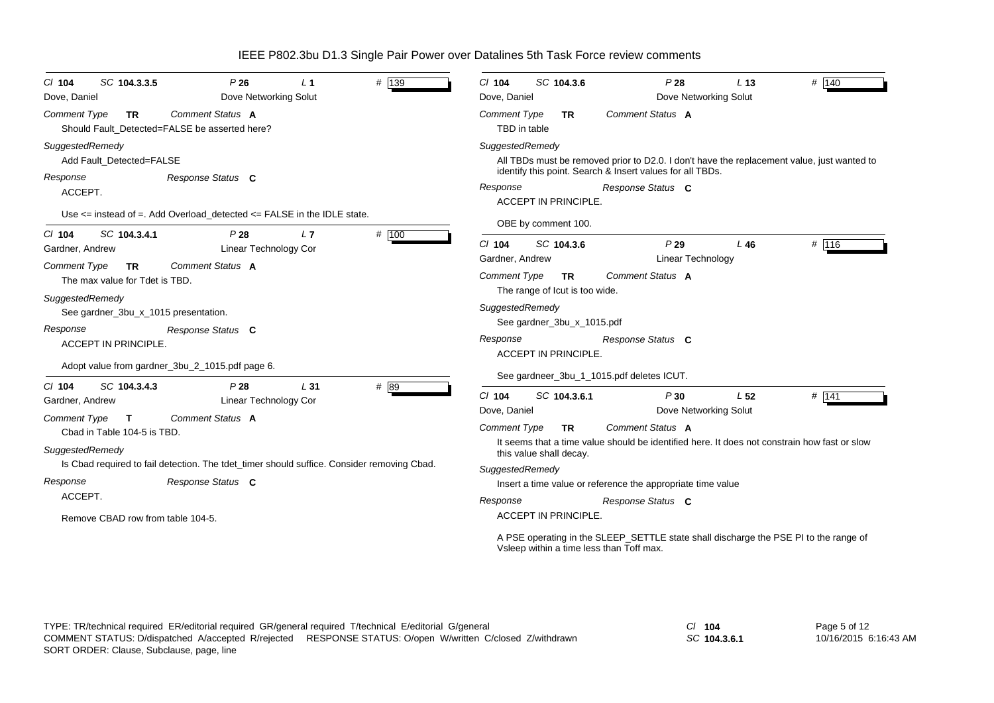| SC 104.3.3.5<br>$CI$ 104                                           | P26                                                                                        | L <sub>1</sub>  | # 139 | $CI$ 104                            | SC 104.3.6                                                   | P28                                                                                                                                                     | L <sub>13</sub> | # 140   |
|--------------------------------------------------------------------|--------------------------------------------------------------------------------------------|-----------------|-------|-------------------------------------|--------------------------------------------------------------|---------------------------------------------------------------------------------------------------------------------------------------------------------|-----------------|---------|
| Dove, Daniel                                                       | Dove Networking Solut                                                                      |                 |       | Dove, Daniel                        |                                                              | Dove Networking Solut                                                                                                                                   |                 |         |
| <b>Comment Type</b><br>TR.                                         | <b>Comment Status A</b><br>Should Fault Detected=FALSE be asserted here?                   |                 |       | <b>Comment Type</b><br>TBD in table | TR.                                                          | Comment Status A                                                                                                                                        |                 |         |
| SuggestedRemedy<br>Add Fault Detected=FALSE                        |                                                                                            |                 |       | SuggestedRemedy                     |                                                              | All TBDs must be removed prior to D2.0. I don't have the replacement value, just wanted to<br>identify this point. Search & Insert values for all TBDs. |                 |         |
| Response<br>ACCEPT.                                                | Response Status C                                                                          |                 |       | Response                            | <b>ACCEPT IN PRINCIPLE.</b>                                  | Response Status C                                                                                                                                       |                 |         |
|                                                                    | Use $\le$ instead of =. Add Overload_detected $\le$ FALSE in the IDLE state.               |                 |       |                                     | OBE by comment 100.                                          |                                                                                                                                                         |                 |         |
| SC 104.3.4.1<br>$CI$ 104<br>Gardner, Andrew                        | P28<br>Linear Technology Cor                                                               | L <sub>7</sub>  | # 100 | $Cl$ 104<br>Gardner, Andrew         | SC 104.3.6                                                   | P29<br><b>Linear Technology</b>                                                                                                                         | L46             | # 116   |
| <b>Comment Type</b><br><b>TR</b><br>The max value for Tdet is TBD. | Comment Status A                                                                           |                 |       | <b>Comment Type</b>                 | <b>TR</b>                                                    | Comment Status A                                                                                                                                        |                 |         |
| SuggestedRemedy<br>See gardner_3bu_x_1015 presentation.            |                                                                                            |                 |       | SuggestedRemedy                     | The range of lout is too wide.<br>See gardner_3bu_x_1015.pdf |                                                                                                                                                         |                 |         |
| Response<br><b>ACCEPT IN PRINCIPLE.</b>                            | Response Status C                                                                          |                 |       | Response                            | ACCEPT IN PRINCIPLE.                                         | Response Status C                                                                                                                                       |                 |         |
|                                                                    | Adopt value from gardner_3bu_2_1015.pdf page 6.                                            |                 |       |                                     |                                                              | See gardneer_3bu_1_1015.pdf deletes ICUT.                                                                                                               |                 |         |
| SC 104.3.4.3<br>$CI$ 104<br>Gardner, Andrew                        | P28<br>Linear Technology Cor                                                               | L <sub>31</sub> | # 89  | $Cl$ 104                            | SC 104.3.6.1                                                 | P30                                                                                                                                                     | L <sub>52</sub> | $#$ 141 |
| <b>Comment Type</b><br>$\mathbf{T}$<br>Cbad in Table 104-5 is TBD. | <b>Comment Status A</b>                                                                    |                 |       | Dove, Daniel<br><b>Comment Type</b> | TR.                                                          | Dove Networking Solut<br>Comment Status A                                                                                                               |                 |         |
| SuggestedRemedy                                                    | Is Cbad required to fail detection. The tdet_timer should suffice. Consider removing Cbad. |                 |       |                                     | this value shall decay.                                      | It seems that a time value should be identified here. It does not constrain how fast or slow                                                            |                 |         |
|                                                                    |                                                                                            |                 |       | SuggestedRemedy                     |                                                              |                                                                                                                                                         |                 |         |
| Response<br>ACCEPT.                                                | Response Status C                                                                          |                 |       |                                     |                                                              | Insert a time value or reference the appropriate time value                                                                                             |                 |         |
| Remove CBAD row from table 104-5.                                  |                                                                                            |                 |       | Response                            | ACCEPT IN PRINCIPLE.                                         | Response Status C                                                                                                                                       |                 |         |
|                                                                    |                                                                                            |                 |       |                                     |                                                              | A PSE operating in the SLEEP_SETTLE state shall discharge the PSE PI to the range of<br>Vsleep within a time less than Toff max.                        |                 |         |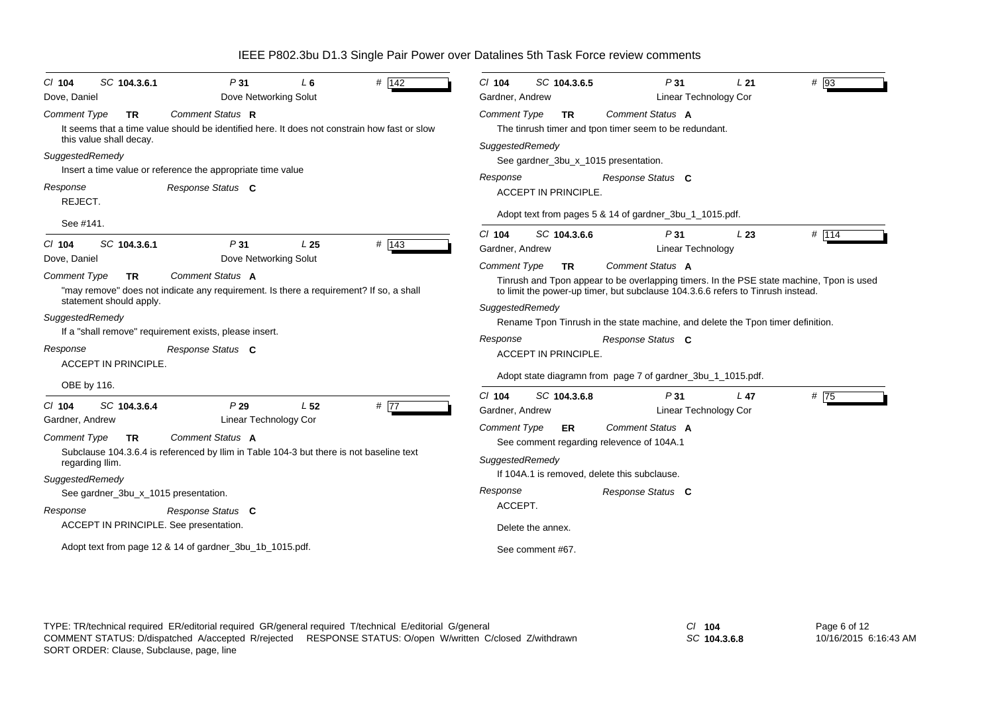| SC 104.3.6.1<br>$Cl$ 104                                                                                           | P31                                                                                                                                                                                       | L 6             | # 142             | $Cl$ 104<br>SC 104.3.6.5                                                                                                                                                                                                                                                                                                     | P31                                   | L21  | $# \overline{9}3$                                                                        |
|--------------------------------------------------------------------------------------------------------------------|-------------------------------------------------------------------------------------------------------------------------------------------------------------------------------------------|-----------------|-------------------|------------------------------------------------------------------------------------------------------------------------------------------------------------------------------------------------------------------------------------------------------------------------------------------------------------------------------|---------------------------------------|------|------------------------------------------------------------------------------------------|
| Dove, Daniel                                                                                                       | Dove Networking Solut                                                                                                                                                                     |                 |                   | Gardner, Andrew                                                                                                                                                                                                                                                                                                              | Linear Technology Cor                 |      |                                                                                          |
| <b>Comment Type</b><br><b>TR</b><br>this value shall decay.                                                        | Comment Status R<br>It seems that a time value should be identified here. It does not constrain how fast or slow                                                                          |                 |                   | <b>Comment Type</b><br><b>TR</b><br>The tinrush timer and tpon timer seem to be redundant.                                                                                                                                                                                                                                   | Comment Status A                      |      |                                                                                          |
| SuggestedRemedy                                                                                                    | Insert a time value or reference the appropriate time value                                                                                                                               |                 |                   | SuggestedRemedy<br>See gardner_3bu_x_1015 presentation.<br>Response                                                                                                                                                                                                                                                          | Response Status C                     |      |                                                                                          |
| Response<br>REJECT.                                                                                                | Response Status C                                                                                                                                                                         |                 |                   | ACCEPT IN PRINCIPLE.                                                                                                                                                                                                                                                                                                         |                                       |      |                                                                                          |
| See #141.                                                                                                          |                                                                                                                                                                                           |                 |                   | Adopt text from pages 5 & 14 of gardner_3bu_1_1015.pdf.                                                                                                                                                                                                                                                                      |                                       |      |                                                                                          |
| SC 104.3.6.1<br>$Cl$ 104<br>Dove, Daniel                                                                           | P <sub>31</sub><br>Dove Networking Solut                                                                                                                                                  | L <sub>25</sub> | $#$ 143           | SC 104.3.6.6<br>$Cl$ 104<br>Gardner, Andrew                                                                                                                                                                                                                                                                                  | P31<br>Linear Technology              | L23  | # 114                                                                                    |
| <b>Comment Type</b><br><b>TR</b><br>statement should apply.<br>SuggestedRemedy<br>Response<br>ACCEPT IN PRINCIPLE. | Comment Status A<br>"may remove" does not indicate any requirement. Is there a requirement? If so, a shall<br>If a "shall remove" requirement exists, please insert.<br>Response Status C |                 |                   | <b>Comment Type</b><br><b>TR</b><br>to limit the power-up timer, but subclause 104.3.6.6 refers to Tinrush instead.<br>SuggestedRemedy<br>Rename Tpon Tinrush in the state machine, and delete the Tpon timer definition.<br>Response<br>ACCEPT IN PRINCIPLE.<br>Adopt state diagramn from page 7 of gardner_3bu_1_1015.pdf. | Comment Status A<br>Response Status C |      | Tinrush and Tpon appear to be overlapping timers. In the PSE state machine, Tpon is used |
| OBE by 116.                                                                                                        |                                                                                                                                                                                           |                 |                   | $Cl$ 104<br>SC 104.3.6.8                                                                                                                                                                                                                                                                                                     | P 31                                  | L 47 | # $\overline{75}$                                                                        |
| SC 104.3.6.4<br>$CI$ 104<br>Gardner, Andrew                                                                        | P29<br>Linear Technology Cor                                                                                                                                                              | L <sub>52</sub> | # $\overline{77}$ | Gardner, Andrew                                                                                                                                                                                                                                                                                                              | Linear Technology Cor                 |      |                                                                                          |
| <b>Comment Type</b><br><b>TR</b><br>regarding Ilim.                                                                | Comment Status A<br>Subclause 104.3.6.4 is referenced by Ilim in Table 104-3 but there is not baseline text                                                                               |                 |                   | <b>Comment Type</b><br><b>ER</b><br>See comment regarding relevence of 104A.1<br>SuggestedRemedy                                                                                                                                                                                                                             | Comment Status A                      |      |                                                                                          |
| SuggestedRemedy                                                                                                    |                                                                                                                                                                                           |                 |                   | If 104A.1 is removed, delete this subclause.                                                                                                                                                                                                                                                                                 |                                       |      |                                                                                          |
| See gardner_3bu_x_1015 presentation.                                                                               |                                                                                                                                                                                           |                 |                   | Response                                                                                                                                                                                                                                                                                                                     | Response Status C                     |      |                                                                                          |
| Response                                                                                                           | Response Status C                                                                                                                                                                         |                 |                   | ACCEPT.                                                                                                                                                                                                                                                                                                                      |                                       |      |                                                                                          |
|                                                                                                                    | ACCEPT IN PRINCIPLE. See presentation.                                                                                                                                                    |                 |                   | Delete the annex.                                                                                                                                                                                                                                                                                                            |                                       |      |                                                                                          |
|                                                                                                                    | Adopt text from page 12 & 14 of gardner_3bu_1b_1015.pdf.                                                                                                                                  |                 |                   | See comment #67.                                                                                                                                                                                                                                                                                                             |                                       |      |                                                                                          |

TYPE: TR/technical required ER/editorial required GR/general required T/technical E/editorial G/general *Cl* **104** SORT ORDER: Clause, Subclause, page, line COMMENT STATUS: D/dispatched A/accepted R/rejected RESPONSE STATUS: O/open W/written C/closed Z/withdrawn

*SC* **104.3.6.8**

Page 6 of 12 10/16/2015 6:16:43 AM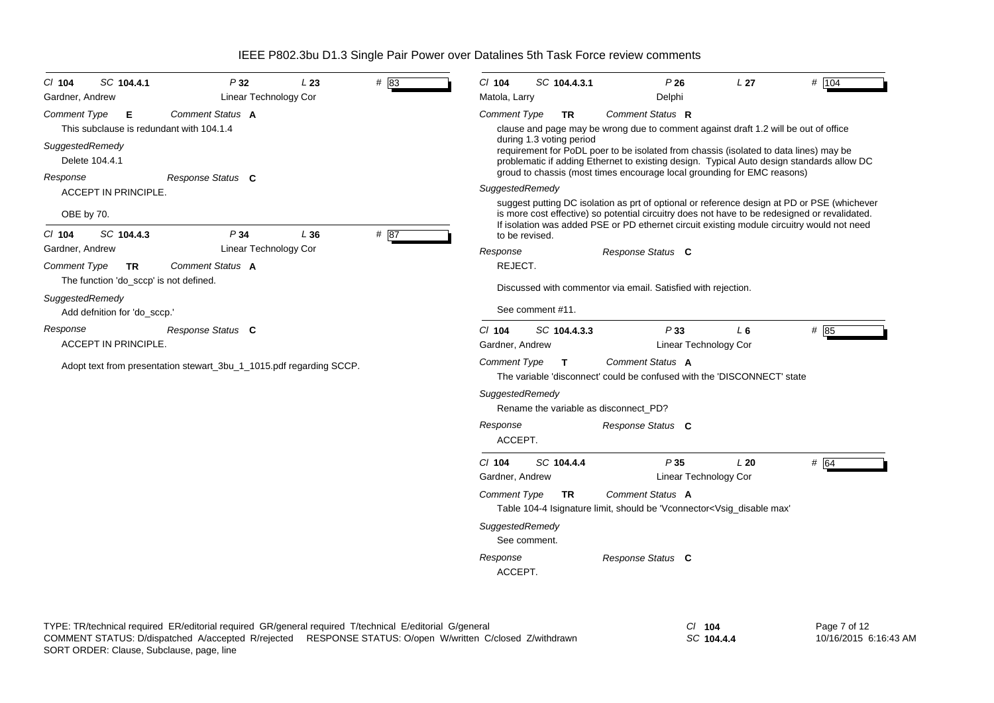| CI 104<br>Gardner, Andrew | SC 104.4.1                             | P32<br>Linear Technology Cor                                        | L23 | #83  | CI 104<br>Matola, Larry                                                                                                                                                                                                                                                                   | SC 104.4.3.1     | P26<br>Delphi                                                                                                                                                                                | L27   | # 104 |  |
|---------------------------|----------------------------------------|---------------------------------------------------------------------|-----|------|-------------------------------------------------------------------------------------------------------------------------------------------------------------------------------------------------------------------------------------------------------------------------------------------|------------------|----------------------------------------------------------------------------------------------------------------------------------------------------------------------------------------------|-------|-------|--|
| Comment Type              | Е                                      | Comment Status A<br>This subclause is redundant with 104.1.4        |     |      | <b>Comment Type</b>                                                                                                                                                                                                                                                                       | <b>TR</b>        | Comment Status R<br>clause and page may be wrong due to comment against draft 1.2 will be out of office                                                                                      |       |       |  |
| SuggestedRemedy           | Delete 104.4.1                         |                                                                     |     |      | during 1.3 voting period<br>requirement for PoDL poer to be isolated from chassis (isolated to data lines) may be<br>problematic if adding Ethernet to existing design. Typical Auto design standards allow DC<br>groud to chassis (most times encourage local grounding for EMC reasons) |                  |                                                                                                                                                                                              |       |       |  |
| Response                  |                                        | Response Status C                                                   |     |      | SuggestedRemedy                                                                                                                                                                                                                                                                           |                  |                                                                                                                                                                                              |       |       |  |
| OBE by 70.                | ACCEPT IN PRINCIPLE.                   |                                                                     |     |      |                                                                                                                                                                                                                                                                                           |                  | suggest putting DC isolation as prt of optional or reference design at PD or PSE (whichever<br>is more cost effective) so potential circuitry does not have to be redesigned or revalidated. |       |       |  |
| CI 104                    | SC 104.4.3                             | P34                                                                 | L36 | # 87 | to be revised.                                                                                                                                                                                                                                                                            |                  | If isolation was added PSE or PD ethernet circuit existing module circuitry would not need                                                                                                   |       |       |  |
| Gardner, Andrew           |                                        | <b>Linear Technology Cor</b>                                        |     |      | Response                                                                                                                                                                                                                                                                                  |                  | Response Status C                                                                                                                                                                            |       |       |  |
| <b>Comment Type</b>       | TR.                                    | Comment Status A                                                    |     |      | REJECT.                                                                                                                                                                                                                                                                                   |                  |                                                                                                                                                                                              |       |       |  |
|                           | The function 'do_sccp' is not defined. |                                                                     |     |      |                                                                                                                                                                                                                                                                                           |                  | Discussed with commentor via email. Satisfied with rejection.                                                                                                                                |       |       |  |
| SuggestedRemedy           | Add defnition for 'do_sccp.'           |                                                                     |     |      |                                                                                                                                                                                                                                                                                           | See comment #11. |                                                                                                                                                                                              |       |       |  |
| Response                  | ACCEPT IN PRINCIPLE.                   | Response Status C                                                   |     |      | CI 104<br>Gardner, Andrew                                                                                                                                                                                                                                                                 | SC 104.4.3.3     | P33<br>Linear Technology Cor                                                                                                                                                                 | $L_6$ | # 85  |  |
|                           |                                        | Adopt text from presentation stewart_3bu_1_1015.pdf regarding SCCP. |     |      | <b>Comment Type</b>                                                                                                                                                                                                                                                                       | $\mathbf{T}$     | Comment Status A<br>The variable 'disconnect' could be confused with the 'DISCONNECT' state                                                                                                  |       |       |  |
|                           |                                        |                                                                     |     |      | SuggestedRemedy                                                                                                                                                                                                                                                                           |                  | Rename the variable as disconnect_PD?                                                                                                                                                        |       |       |  |
|                           |                                        |                                                                     |     |      | Response<br>ACCEPT.                                                                                                                                                                                                                                                                       |                  | Response Status C                                                                                                                                                                            |       |       |  |
|                           |                                        |                                                                     |     |      | CI 104<br>Gardner, Andrew                                                                                                                                                                                                                                                                 | SC 104.4.4       | P35<br><b>Linear Technology Cor</b>                                                                                                                                                          | L20   | # 64  |  |
|                           |                                        |                                                                     |     |      | <b>Comment Type</b>                                                                                                                                                                                                                                                                       | <b>TR</b>        | Comment Status A<br>Table 104-4 Isignature limit, should be 'Vconnector <vsig_disable max'<="" td=""><td></td><td></td></vsig_disable>                                                       |       |       |  |
|                           |                                        |                                                                     |     |      | SuggestedRemedy                                                                                                                                                                                                                                                                           | See comment.     |                                                                                                                                                                                              |       |       |  |
|                           |                                        |                                                                     |     |      | Response<br>ACCEPT.                                                                                                                                                                                                                                                                       |                  | Response Status C                                                                                                                                                                            |       |       |  |
|                           |                                        |                                                                     |     |      |                                                                                                                                                                                                                                                                                           |                  |                                                                                                                                                                                              |       |       |  |

TYPE: TR/technical required ER/editorial required GR/general required T/technical E/editorial G/general *Cl* **104** SORT ORDER: Clause, Subclause, page, line COMMENT STATUS: D/dispatched A/accepted R/rejected RESPONSE STATUS: O/open W/written C/closed Z/withdrawn

*SC* **104.4.4**

Page 7 of 12 10/16/2015 6:16:43 AM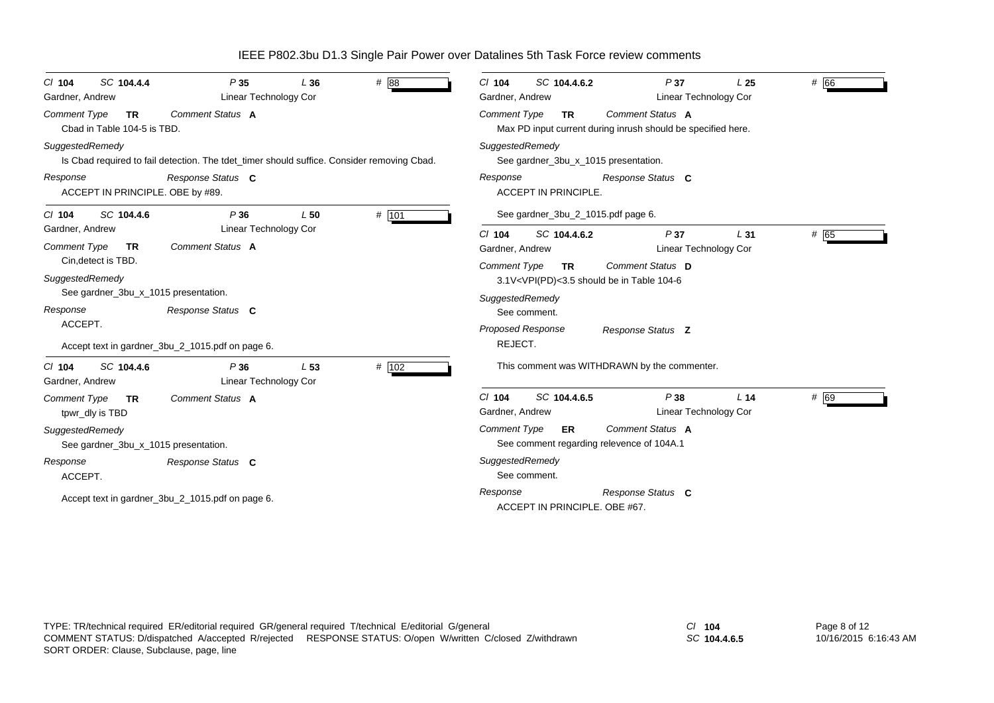| SC 104.4.4<br>$CI$ 104<br>Gardner, Andrew                | P35<br><b>Linear Technology Cor</b>                                                        | L36 | # 88  | # 66<br>SC 104.4.6.2<br>P37<br>$CI$ 104<br>L <sub>25</sub><br>Gardner, Andrew<br>Linear Technology Cor        |
|----------------------------------------------------------|--------------------------------------------------------------------------------------------|-----|-------|---------------------------------------------------------------------------------------------------------------|
| Comment Type<br><b>TR</b><br>Cbad in Table 104-5 is TBD. | Comment Status A                                                                           |     |       | Comment Status A<br>Comment Type<br><b>TR</b><br>Max PD input current during inrush should be specified here. |
| SuggestedRemedy                                          | Is Cbad required to fail detection. The tdet_timer should suffice. Consider removing Cbad. |     |       | SuggestedRemedy<br>See gardner_3bu_x_1015 presentation.                                                       |
| Response<br>ACCEPT IN PRINCIPLE. OBE by #89.             | Response Status C                                                                          |     |       | Response<br>Response Status C<br><b>ACCEPT IN PRINCIPLE</b>                                                   |
| SC 104.4.6<br>$Cl$ 104                                   | P36                                                                                        | L50 | # 101 | See gardner_3bu_2_1015.pdf page 6.                                                                            |
| Gardner, Andrew                                          | <b>Linear Technology Cor</b>                                                               |     |       | SC 104.4.6.2<br># 65<br>$Cl$ 104<br>P37<br>L31                                                                |
| <b>Comment Type</b><br><b>TR</b>                         | Comment Status A                                                                           |     |       | Linear Technology Cor<br>Gardner, Andrew                                                                      |
| Cin, detect is TBD.                                      |                                                                                            |     |       | Comment Status D<br><b>Comment Type</b><br>TR.                                                                |
| SuggestedRemedy                                          |                                                                                            |     |       | 3.1V <vpi(pd)<3.5 104-6<="" be="" in="" should="" table="" td=""></vpi(pd)<3.5>                               |
| See gardner_3bu_x_1015 presentation.                     |                                                                                            |     |       | SuggestedRemedy                                                                                               |
| Response                                                 | Response Status C                                                                          |     |       | See comment.                                                                                                  |
| ACCEPT.                                                  |                                                                                            |     |       | Proposed Response<br>Response Status Z                                                                        |
|                                                          | Accept text in gardner_3bu_2_1015.pdf on page 6.                                           |     |       | REJECT.                                                                                                       |
| SC 104.4.6<br>$Cl$ 104<br>Gardner, Andrew                | P36<br>Linear Technology Cor                                                               | L53 | # 102 | This comment was WITHDRAWN by the commenter.                                                                  |
| <b>Comment Type</b><br>TR                                | Comment Status A                                                                           |     |       | $Cl$ 104<br>P38<br># 69<br>SC 104.4.6.5<br>L <sub>14</sub>                                                    |
| tpwr_dly is TBD                                          |                                                                                            |     |       | Linear Technology Cor<br>Gardner, Andrew                                                                      |
| SuggestedRemedy                                          |                                                                                            |     |       | Comment Type<br>Comment Status A<br>ER                                                                        |
| See gardner_3bu_x_1015 presentation.                     |                                                                                            |     |       | See comment regarding relevence of 104A.1                                                                     |
| Response<br>ACCEPT.                                      | Response Status C                                                                          |     |       | SuggestedRemedy<br>See comment.                                                                               |
|                                                          | Accept text in gardner_3bu_2_1015.pdf on page 6.                                           |     |       | Response<br>Response Status C<br>ACCEPT IN PRINCIPLE, OBE #67.                                                |

TYPE: TR/technical required ER/editorial required GR/general required T/technical E/editorial G/general *Cl* **104** SORT ORDER: Clause, Subclause, page, line COMMENT STATUS: D/dispatched A/accepted R/rejected RESPONSE STATUS: O/open W/written C/closed Z/withdrawn

*SC* **104.4.6.5**

Page 8 of 12 10/16/2015 6:16:43 AM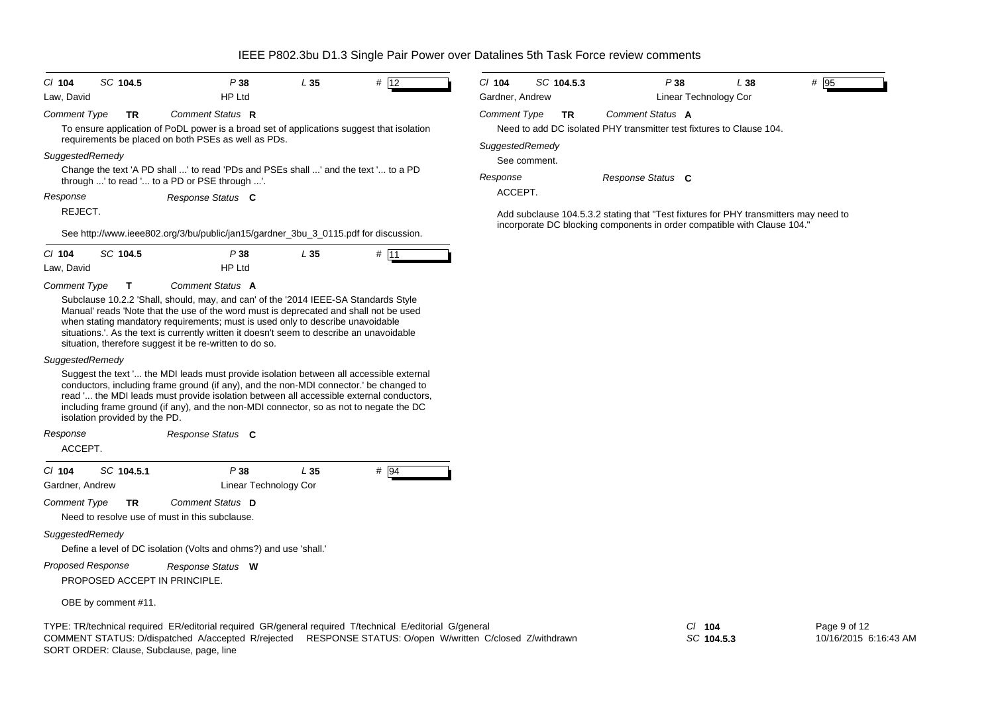| SC 104.5<br>$CI$ 104<br>Law, David                                                                                                                                                                                                                                                                                                                                                                                                                  | P38<br><b>HP Ltd</b>                              | L35  | # 12 | CI 104<br>Gardner, Andrew              | SC 104.5.3   | P38                                                                                                                                                              | L 38<br>Linear Technology Cor | # 95         |
|-----------------------------------------------------------------------------------------------------------------------------------------------------------------------------------------------------------------------------------------------------------------------------------------------------------------------------------------------------------------------------------------------------------------------------------------------------|---------------------------------------------------|------|------|----------------------------------------|--------------|------------------------------------------------------------------------------------------------------------------------------------------------------------------|-------------------------------|--------------|
| Comment Type<br><b>TR</b><br>To ensure application of PoDL power is a broad set of applications suggest that isolation<br>requirements be placed on both PSEs as well as PDs.                                                                                                                                                                                                                                                                       | Comment Status R                                  |      |      | <b>Comment Type</b><br>SuggestedRemedy | TR           | Comment Status A<br>Need to add DC isolated PHY transmitter test fixtures to Clause 104.                                                                         |                               |              |
| SuggestedRemedy<br>Change the text 'A PD shall ' to read 'PDs and PSEs shall ' and the text ' to a PD<br>through ' to read ' to a PD or PSE through '.                                                                                                                                                                                                                                                                                              |                                                   |      |      | Response                               | See comment. | Response Status C                                                                                                                                                |                               |              |
| Response<br>REJECT.<br>See http://www.ieee802.org/3/bu/public/jan15/gardner_3bu_3_0115.pdf for discussion.                                                                                                                                                                                                                                                                                                                                          | Response Status C                                 |      |      | ACCEPT.                                |              | Add subclause 104.5.3.2 stating that "Test fixtures for PHY transmitters may need to<br>incorporate DC blocking components in order compatible with Clause 104." |                               |              |
| $CI$ 104<br>SC 104.5<br>Law, David                                                                                                                                                                                                                                                                                                                                                                                                                  | P 38<br><b>HP Ltd</b>                             | L35  | # 11 |                                        |              |                                                                                                                                                                  |                               |              |
| Comment Type<br>$\mathbf T$<br>Subclause 10.2.2 'Shall, should, may, and can' of the '2014 IEEE-SA Standards Style<br>Manual' reads 'Note that the use of the word must is deprecated and shall not be used<br>when stating mandatory requirements; must is used only to describe unavoidable<br>situations. As the text is currently written it doesn't seem to describe an unavoidable<br>situation, therefore suggest it be re-written to do so. | Comment Status A                                  |      |      |                                        |              |                                                                                                                                                                  |                               |              |
| SuggestedRemedy<br>Suggest the text ' the MDI leads must provide isolation between all accessible external<br>conductors, including frame ground (if any), and the non-MDI connector. be changed to<br>read ' the MDI leads must provide isolation between all accessible external conductors,<br>including frame ground (if any), and the non-MDI connector, so as not to negate the DC<br>isolation provided by the PD.                           |                                                   |      |      |                                        |              |                                                                                                                                                                  |                               |              |
| Response<br>ACCEPT.                                                                                                                                                                                                                                                                                                                                                                                                                                 | Response Status C                                 |      |      |                                        |              |                                                                                                                                                                  |                               |              |
| SC 104.5.1<br>$CI$ 104<br>Gardner, Andrew<br>Comment Type<br>TR<br>Need to resolve use of must in this subclause.<br>SuggestedRemedy                                                                                                                                                                                                                                                                                                                | P 38<br>Linear Technology Cor<br>Comment Status D | L 35 | # 94 |                                        |              |                                                                                                                                                                  |                               |              |
| Define a level of DC isolation (Volts and ohms?) and use 'shall.'<br><b>Proposed Response</b><br>PROPOSED ACCEPT IN PRINCIPLE.                                                                                                                                                                                                                                                                                                                      | Response Status W                                 |      |      |                                        |              |                                                                                                                                                                  |                               |              |
| OBE by comment #11.                                                                                                                                                                                                                                                                                                                                                                                                                                 |                                                   |      |      |                                        |              |                                                                                                                                                                  |                               |              |
| TYPE: TR/technical required ER/editorial required GR/general required T/technical E/editorial G/general                                                                                                                                                                                                                                                                                                                                             |                                                   |      |      |                                        |              |                                                                                                                                                                  | $CI$ 104                      | Page 9 of 12 |

SORT ORDER: Clause, Subclause, page, line COMMENT STATUS: D/dispatched A/accepted R/rejected RESPONSE STATUS: O/open W/written C/closed Z/withdrawn *SC* **104.5.3**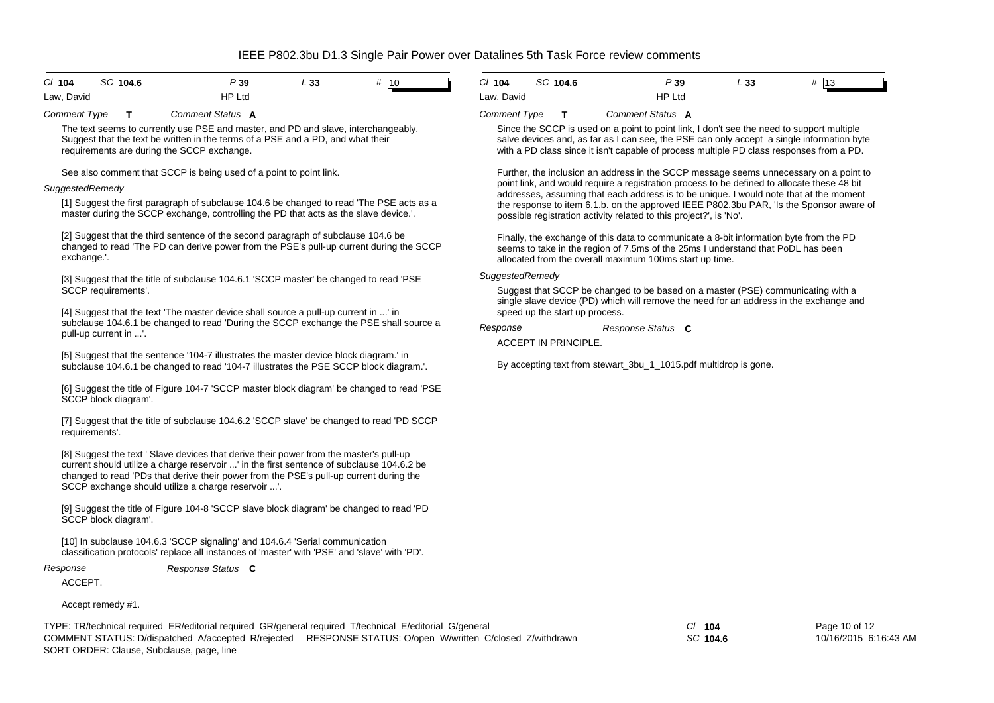| $CI$ 104   | SC 104.6 | P 39          | L 33 | #<br>$ 10\rangle$ |
|------------|----------|---------------|------|-------------------|
| Law, David |          | <b>HP Ltd</b> |      |                   |

*Comment Type* **T***Comment Status***A**

The text seems to currently use PSE and master, and PD and slave, interchangeably. Suggest that the text be written in the terms of a PSE and a PD, and what their requirements are during the SCCP exchange.

See also comment that SCCP is being used of a point to point link.

## *SuggestedRemedy*

[1] Suggest the first paragraph of subclause 104.6 be changed to read 'The PSE acts as a master during the SCCP exchange, controlling the PD that acts as the slave device.'.

[2] Suggest that the third sentence of the second paragraph of subclause 104.6 be changed to read 'The PD can derive power from the PSE's pull-up current during the SCCP exchange.'.

[3] Suggest that the title of subclause 104.6.1 'SCCP master' be changed to read 'PSE SCCP requirements'.

[4] Suggest that the text 'The master device shall source a pull-up current in ...' in subclause 104.6.1 be changed to read 'During the SCCP exchange the PSE shall source a pull-up current in ...'.

[5] Suggest that the sentence '104-7 illustrates the master device block diagram.' in subclause 104.6.1 be changed to read '104-7 illustrates the PSE SCCP block diagram.'.

[6] Suggest the title of Figure 104-7 'SCCP master block diagram' be changed to read 'PSE SCCP block diagram'.

[7] Suggest that the title of subclause 104.6.2 'SCCP slave' be changed to read 'PD SCCP requirements'.

[8] Suggest the text ' Slave devices that derive their power from the master's pull-up current should utilize a charge reservoir ...' in the first sentence of subclause 104.6.2 be changed to read 'PDs that derive their power from the PSE's pull-up current during the SCCP exchange should utilize a charge reservoir ...'.

[9] Suggest the title of Figure 104-8 'SCCP slave block diagram' be changed to read 'PD SCCP block diagram'.

[10] In subclause 104.6.3 'SCCP signaling' and 104.6.4 'Serial communication classification protocols' replace all instances of 'master' with 'PSE' and 'slave' with 'PD'.

*Response*

*Response Status* **C**

ACCEPT.

Accept remedy #1.

TYPE: TR/technical required ER/editorial required GR/general required T/technical E/editorial G/general *Cl* **104** SORT ORDER: Clause, Subclause, page, line COMMENT STATUS: D/dispatched A/accepted R/rejected RESPONSE STATUS: O/open W/written C/closed Z/withdrawn

| $Cl$ 104   | SC 104.6 | P39           | L 33 | # 13 |  |
|------------|----------|---------------|------|------|--|
| Law, David |          | <b>HP Ltd</b> |      |      |  |

## *Comment Type* **T***Comment Status***A**

Since the SCCP is used on a point to point link, I don't see the need to support multiple salve devices and, as far as I can see, the PSE can only accept a single information byte with a PD class since it isn't capable of process multiple PD class responses from a PD.

Further, the inclusion an address in the SCCP message seems unnecessary on a point to point link, and would require a registration process to be defined to allocate these 48 bit addresses, assuming that each address is to be unique. I would note that at the moment the response to item 6.1.b. on the approved IEEE P802.3bu PAR, 'Is the Sponsor aware of possible registration activity related to this project?', is 'No'.

Finally, the exchange of this data to communicate a 8-bit information byte from the PD seems to take in the region of 7.5ms of the 25ms I understand that PoDL has been allocated from the overall maximum 100ms start up time.

## *SuggestedRemedy*

Suggest that SCCP be changed to be based on a master (PSE) communicating with a single slave device (PD) which will remove the need for an address in the exchange and speed up the start up process.

*Response Status* **C***Response*

ACCEPT IN PRINCIPLE.

By accepting text from stewart 3bu 1 1015.pdf multidrop is gone.

*SC* **104.6**

Page 10 of 12 10/16/2015 6:16:43 AM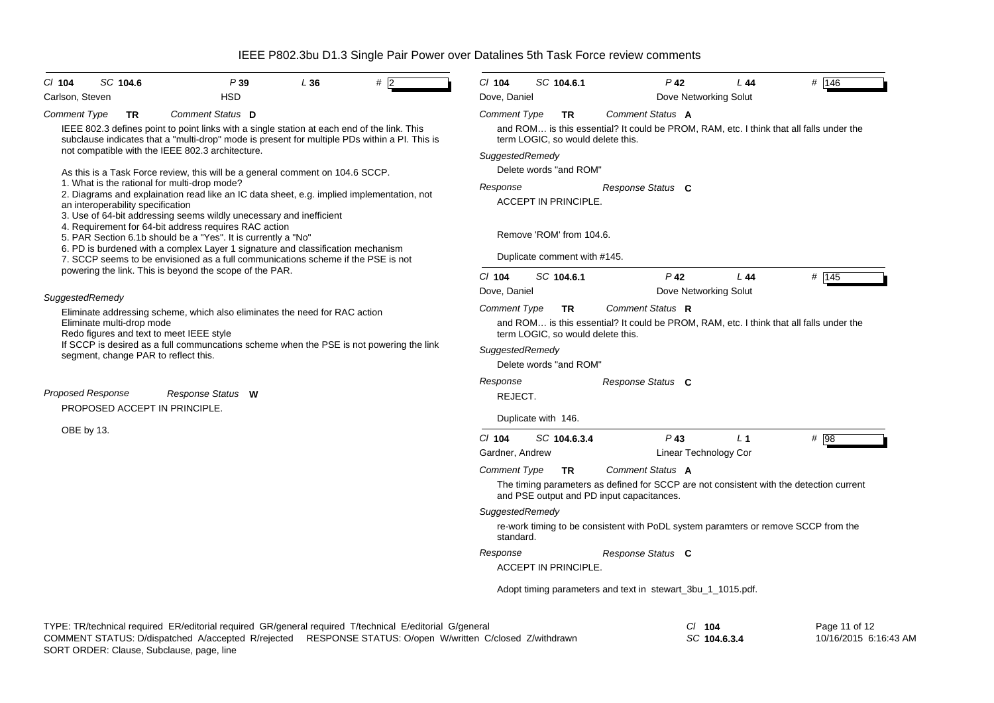| SC 104.6<br>$Cl$ 104<br>Carlson, Steven                                                                                                             | P39<br><b>HSD</b>                                                                                                                                                                            | L36 | #               | $Cl$ 104<br>Dove, Daniel      | SC 104.6.1                        | $P$ 42<br>Dove Networking Solut                                                                                                                          | L44   | # 146 |  |  |
|-----------------------------------------------------------------------------------------------------------------------------------------------------|----------------------------------------------------------------------------------------------------------------------------------------------------------------------------------------------|-----|-----------------|-------------------------------|-----------------------------------|----------------------------------------------------------------------------------------------------------------------------------------------------------|-------|-------|--|--|
| <b>Comment Type</b><br>TR                                                                                                                           | Comment Status D                                                                                                                                                                             |     |                 | <b>Comment Type</b>           | <b>TR</b>                         | Comment Status A                                                                                                                                         |       |       |  |  |
|                                                                                                                                                     | IEEE 802.3 defines point to point links with a single station at each end of the link. This<br>subclause indicates that a "multi-drop" mode is present for multiple PDs within a PI. This is |     |                 |                               | term LOGIC, so would delete this. | and ROM is this essential? It could be PROM, RAM, etc. I think that all falls under the                                                                  |       |       |  |  |
| not compatible with the IEEE 802.3 architecture.                                                                                                    |                                                                                                                                                                                              |     |                 | SuggestedRemedy               |                                   |                                                                                                                                                          |       |       |  |  |
|                                                                                                                                                     | As this is a Task Force review, this will be a general comment on 104.6 SCCP.                                                                                                                |     |                 |                               | Delete words "and ROM"            |                                                                                                                                                          |       |       |  |  |
| 1. What is the rational for multi-drop mode?                                                                                                        | 2. Diagrams and explaination read like an IC data sheet, e.g. implied implementation, not                                                                                                    |     |                 | Response<br>Response Status C |                                   |                                                                                                                                                          |       |       |  |  |
| an interoperability specification                                                                                                                   | 3. Use of 64-bit addressing seems wildly unecessary and inefficient                                                                                                                          |     |                 |                               | ACCEPT IN PRINCIPLE.              |                                                                                                                                                          |       |       |  |  |
|                                                                                                                                                     | 4. Requirement for 64-bit address requires RAC action<br>5. PAR Section 6.1b should be a "Yes". It is currently a "No"                                                                       |     |                 | Remove 'ROM' from 104.6.      |                                   |                                                                                                                                                          |       |       |  |  |
|                                                                                                                                                     | 6. PD is burdened with a complex Layer 1 signature and classification mechanism<br>7. SCCP seems to be envisioned as a full communications scheme if the PSE is not                          |     |                 |                               | Duplicate comment with #145.      |                                                                                                                                                          |       |       |  |  |
|                                                                                                                                                     | powering the link. This is beyond the scope of the PAR.                                                                                                                                      |     |                 | $Cl$ 104                      | SC 104.6.1                        | $P$ 42                                                                                                                                                   | L44   | # 145 |  |  |
| SuggestedRemedy                                                                                                                                     |                                                                                                                                                                                              |     |                 | Dove, Daniel                  |                                   | Dove Networking Solut                                                                                                                                    |       |       |  |  |
| Eliminate addressing scheme, which also eliminates the need for RAC action<br>Eliminate multi-drop mode<br>Redo figures and text to meet IEEE style |                                                                                                                                                                                              |     |                 | <b>Comment Type</b>           | TR.                               | Comment Status R                                                                                                                                         |       |       |  |  |
|                                                                                                                                                     |                                                                                                                                                                                              |     |                 |                               | term LOGIC, so would delete this. | and ROM is this essential? It could be PROM, RAM, etc. I think that all falls under the                                                                  |       |       |  |  |
| If SCCP is desired as a full communcations scheme when the PSE is not powering the link<br>segment, change PAR to reflect this.                     |                                                                                                                                                                                              |     | SuggestedRemedy | Delete words "and ROM"        |                                   |                                                                                                                                                          |       |       |  |  |
|                                                                                                                                                     |                                                                                                                                                                                              |     |                 | Response                      |                                   | Response Status C                                                                                                                                        |       |       |  |  |
| <b>Proposed Response</b>                                                                                                                            | Response Status W                                                                                                                                                                            |     |                 | REJECT.                       |                                   |                                                                                                                                                          |       |       |  |  |
| PROPOSED ACCEPT IN PRINCIPLE.                                                                                                                       |                                                                                                                                                                                              |     |                 |                               | Duplicate with 146.               |                                                                                                                                                          |       |       |  |  |
| OBE by 13.                                                                                                                                          |                                                                                                                                                                                              |     |                 | $CI$ 104                      | SC 104.6.3.4                      | $P$ 43                                                                                                                                                   | $L_1$ | # 98  |  |  |
|                                                                                                                                                     |                                                                                                                                                                                              |     |                 | Gardner, Andrew               |                                   | Linear Technology Cor                                                                                                                                    |       |       |  |  |
|                                                                                                                                                     |                                                                                                                                                                                              |     |                 | <b>Comment Type</b>           | <b>TR</b>                         | Comment Status A<br>The timing parameters as defined for SCCP are not consistent with the detection current<br>and PSE output and PD input capacitances. |       |       |  |  |
|                                                                                                                                                     |                                                                                                                                                                                              |     |                 | SuggestedRemedy               |                                   |                                                                                                                                                          |       |       |  |  |
|                                                                                                                                                     |                                                                                                                                                                                              |     |                 | standard.                     |                                   | re-work timing to be consistent with PoDL system paramters or remove SCCP from the                                                                       |       |       |  |  |
|                                                                                                                                                     |                                                                                                                                                                                              |     |                 |                               |                                   | Response Status C                                                                                                                                        |       |       |  |  |
|                                                                                                                                                     |                                                                                                                                                                                              |     |                 |                               | ACCEPT IN PRINCIPLE.              |                                                                                                                                                          |       |       |  |  |
|                                                                                                                                                     |                                                                                                                                                                                              |     |                 |                               |                                   | Adopt timing parameters and text in stewart_3bu_1_1015.pdf.                                                                                              |       |       |  |  |
|                                                                                                                                                     |                                                                                                                                                                                              |     |                 |                               |                                   |                                                                                                                                                          |       |       |  |  |
|                                                                                                                                                     |                                                                                                                                                                                              |     |                 |                               |                                   | $\sim$ $\sim$ $\sim$                                                                                                                                     |       |       |  |  |

| TYPE: TR/technical required ER/editorial required GR/general required T/technical E/editorial G/general | $CI$ 104                                                                                                  |              |
|---------------------------------------------------------------------------------------------------------|-----------------------------------------------------------------------------------------------------------|--------------|
|                                                                                                         | COMMENT STATUS: D/dispatched A/accepted R/rejected RESPONSE STATUS: O/open W/written C/closed Z/withdrawn | SC 104.6.3.4 |
| SORT ORDER: Clause, Subclause, page, line                                                               |                                                                                                           |              |

Page 11 of 12 10/16/2015 6:16:43 AM